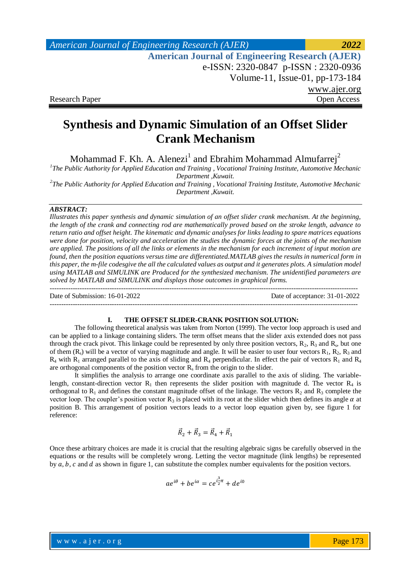*American Journal of Engineering Research (AJER) 2022*  **American Journal of Engineering Research (AJER)** e-ISSN: 2320-0847 p-ISSN : 2320-0936 Volume-11, Issue-01, pp-173-184 www.ajer.org Research Paper **Open Access** Open Access Open Access Open Access Open Access Open Access Open Access Open Access of  $\theta$ 

# **Synthesis and Dynamic Simulation of an Offset Slider Crank Mechanism**

Mohammad F. Kh. A. Alenezi<sup>1</sup> and Ebrahim Mohammad Almufarrej<sup>2</sup>

*1 The Public Authority for Applied Education and Training , Vocational Training Institute, Automotive Mechanic Department ,Kuwait.*

*2 The Public Authority for Applied Education and Training , Vocational Training Institute, Automotive Mechanic Department ,Kuwait.*

#### *ABSTRACT:*

*Illustrates this paper synthesis and dynamic simulation of an offset slider crank mechanism. At the beginning, the length of the crank and connecting rod are mathematically proved based on the stroke length, advance to return ratio and offset height. The kinematic and dynamic analyses for links leading to spare matrices equations were done for position, velocity and acceleration the studies the dynamic forces at the joints of the mechanism are applied. The positions of all the links or elements in the mechanism for each increment of input motion are found, then the position equations versus time are differentiated.MATLAB gives the results in numerical form in this paper, the m-file codesgive the all the calculated values as output and it generates plots. A simulation model using MATLAB and SIMULINK are Produced for the synthesized mechanism. The unidentified parameters are solved by MATLAB and SIMULINK and displays those outcomes in graphical forms.* --------------------------------------------------------------------------------------------------------------------------------------

Date of Submission: 16-01-2022 Date of acceptance: 31-01-2022

#### **I. THE OFFSET SLIDER-CRANK POSITION SOLUTION:**

--------------------------------------------------------------------------------------------------------------------------------------

The following theoretical analysis was taken from Norton (1999). The vector loop approach is used and can be applied to a linkage containing sliders. The term offset means that the slider axis extended does not pass through the crack pivot. This linkage could be represented by only three position vectors,  $R_2$ ,  $R_3$  and  $R_s$ , but one of them  $(R_s)$  will be a vector of varying magnitude and angle. It will be easier to user four vectors  $R_1, R_2, R_3$  and  $R_4$  with  $R_1$  arranged parallel to the axis of sliding and  $R_4$  perpendicular. In effect the pair of vectors  $R_1$  and  $R_4$ are orthogonal components of the position vector  $R_s$  from the origin to the slider.

It simplifies the analysis to arrange one coordinate axis parallel to the axis of sliding. The variablelength, constant-direction vector  $R_1$  then represents the slider position with magnitude d. The vector  $R_4$  is orthogonal to  $R_1$  and defines the constant magnitude offset of the linkage. The vectors  $R_2$  and  $R_3$  complete the vector loop. The coupler's position vector  $R_3$  is placed with its root at the slider which then defines its angle  $\alpha$  at position B. This arrangement of position vectors leads to a vector loop equation given by, see figure 1 for reference:

$$
\vec{R}_2 + \vec{R}_3 = \vec{R}_4 + \vec{R}_1
$$

Once these arbitrary choices are made it is crucial that the resulting algebraic signs be carefully observed in the equations or the results will be completely wrong. Letting the vector magnitude (link lengths) be represented by  $a, b, c$  and  $d$  as shown in figure 1, can substitute the complex number equivalents for the position vectors.

$$
ae^{i\theta} + be^{i\alpha} = ce^{i\frac{3}{2}\pi} + de^{i0}
$$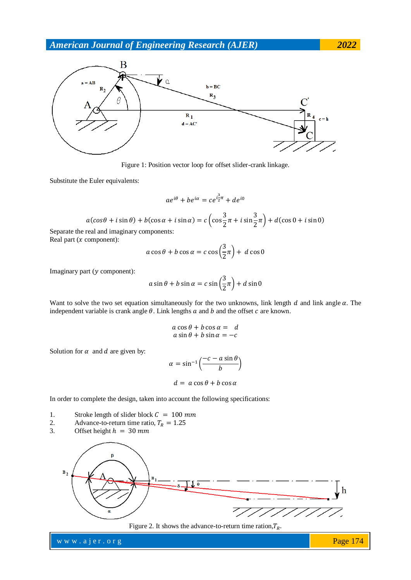

Figure 1: Position vector loop for offset slider-crank linkage.

Substitute the Euler equivalents:

$$
ae^{i\theta} + be^{i\alpha} = ce^{i\frac{3}{2}\pi} + de^{i0}
$$

$$
a(\cos\theta + i\sin\theta) + b(\cos\alpha + i\sin\alpha) = c\left(\cos\frac{3}{2}\pi + i\sin\frac{3}{2}\pi\right) + d(\cos 0 + i\sin 0)
$$

Separate the real and imaginary components: Real part  $(x \text{ component})$ :

$$
a\cos\theta + b\cos\alpha = c\cos\left(\frac{3}{2}\pi\right) + d\cos 0
$$

Imaginary part  $(y$  component):

$$
a\sin\theta + b\sin\alpha = c\sin\left(\frac{3}{2}\pi\right) + d\sin\theta
$$

Want to solve the two set equation simultaneously for the two unknowns, link length  $d$  and link angle  $\alpha$ . The independent variable is crank angle  $\theta$ . Link lengths  $a$  and  $b$  and the offset  $c$  are known.

$$
a \cos \theta + b \cos \alpha = d
$$
  

$$
a \sin \theta + b \sin \alpha = -c
$$

Solution for  $\alpha$  and  $d$  are given by:

$$
\alpha = \sin^{-1}\left(\frac{-c - a\sin\theta}{b}\right)
$$

$$
d = a\cos\theta + b\cos\alpha
$$

In order to complete the design, taken into account the following specifications:

- 1. Stroke length of slider block  $C = 100$  mm
- 2. Advance-to-return time ratio,  $T_R = 1.25$

3. Offset height 
$$
h = 30 \, \text{mm}
$$



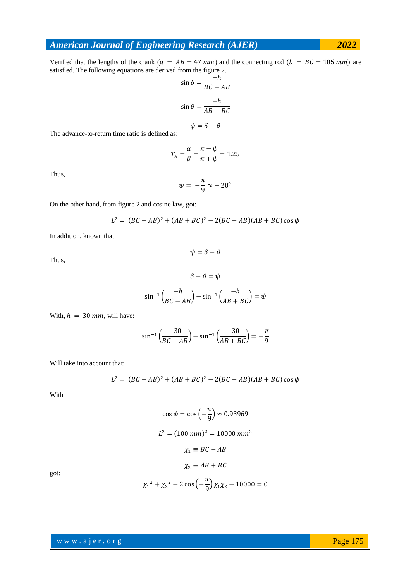Verified that the lengths of the crank  $(a = AB = 47 \text{ mm})$  and the connecting rod  $(b = BC = 105 \text{ mm})$  are satisfied. The following equations are derived from the figure 2.

$$
\sin \delta = \frac{-h}{BC - AB}
$$

$$
\sin \theta = \frac{-h}{AB + BC}
$$

$$
\psi = \delta - \theta
$$

The advance-to-return time ratio is defined as:

$$
T_R = \frac{\alpha}{\beta} = \frac{\pi - \psi}{\pi + \psi} = 1.25
$$

Thus,

$$
\psi = -\frac{\pi}{9} \approx -20^0
$$

On the other hand, from figure 2 and cosine law, got:

$$
L^{2} = (BC - AB)^{2} + (AB + BC)^{2} - 2(BC - AB)(AB + BC)\cos\psi
$$

 $\psi = \delta - \theta$ 

In addition, known that:

Thus,

$$
\delta - \theta = \psi
$$

$$
\sin^{-1}\left(\frac{-h}{BC - AB}\right) - \sin^{-1}\left(\frac{-h}{AB + BC}\right) = \psi
$$

With,  $h = 30$  mm, will have:

$$
\sin^{-1}\left(\frac{-30}{BC - AB}\right) - \sin^{-1}\left(\frac{-30}{AB + BC}\right) = -\frac{\pi}{9}
$$

Will take into account that:

$$
L^{2} = (BC - AB)^{2} + (AB + BC)^{2} - 2(BC - AB)(AB + BC)\cos\psi
$$

With

$$
\cos \psi = \cos \left( -\frac{\pi}{9} \right) \approx 0.93969
$$

$$
L^2 = (100 \text{ mm})^2 = 10000 \text{ mm}^2
$$

$$
\chi_1 \equiv BC - AB
$$

$$
\chi_2 \equiv AB + BC
$$

got:

$$
\chi_1^2 + \chi_2^2 - 2\cos\left(-\frac{\pi}{9}\right)\chi_1\chi_2 - 10000 = 0
$$

www.ajer.org where  $\mathcal{L} = \mathcal{L} \left( \mathcal{L} \right)$  is the set of  $\mathcal{L} \left( \mathcal{L} \right)$ 

Page 175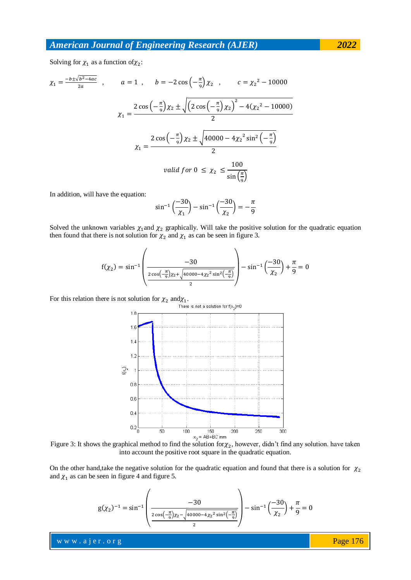Solving for  $\chi_1$  as a function of  $\chi_2$ :

$$
\chi_1 = \frac{-b \pm \sqrt{b^2 - 4ac}}{2a} , \qquad a = 1 , \qquad b = -2\cos\left(-\frac{\pi}{9}\right)\chi_2 , \qquad c = \chi_2^2 - 10000
$$

$$
\chi_1 = \frac{2\cos\left(-\frac{\pi}{9}\right)\chi_2 \pm \sqrt{\left(2\cos\left(-\frac{\pi}{9}\right)\chi_2\right)^2 - 4\left(\chi_2^2 - 10000\right)}}{2}
$$

$$
\chi_1 = \frac{2\cos\left(-\frac{\pi}{9}\right)\chi_2 \pm \sqrt{40000 - 4\chi_2^2\sin^2\left(-\frac{\pi}{9}\right)}}{2}
$$
 *valid for*  $0 \le \chi_2 \le \frac{100}{\sin\left(\frac{\pi}{9}\right)}$ 

In addition, will have the equation:

$$
\sin^{-1}\left(\frac{-30}{\chi_1}\right) - \sin^{-1}\left(\frac{-30}{\chi_2}\right) = -\frac{\pi}{9}
$$

Solved the unknown variables  $\chi_1$  and  $\chi_2$  graphically. Will take the positive solution for the quadratic equation then found that there is not solution for  $\chi_2$  and  $\chi_1$  as can be seen in figure 3.

$$
f(\chi_2) = \sin^{-1}\left(\frac{-30}{\frac{2\cos(-\frac{\pi}{9})\chi_2 + \sqrt{40000 - 4\chi_2^2 \sin^2(-\frac{\pi}{9})}}{2}}\right) - \sin^{-1}\left(\frac{-30}{\chi_2}\right) + \frac{\pi}{9} = 0
$$

For this relation there is not solution for  $\chi_2$  and  $\chi_1$ .



Figure 3: It shows the graphical method to find the solution for  $\chi_2$ , however, didn't find any solution. have taken into account the positive root square in the quadratic equation.

On the other hand,take the negative solution for the quadratic equation and found that there is a solution for  $\chi_2$ and  $\chi_1$  as can be seen in figure 4 and figure 5.

$$
g(\chi_2)^{-1} = \sin^{-1} \left( \frac{-30}{\frac{2\cos\left(-\frac{\pi}{9}\right)\chi_2 - \sqrt{40000 - 4\chi_2^2 \sin^2\left(-\frac{\pi}{9}\right)}}{2}} \right) - \sin^{-1}\left(\frac{-30}{\chi_2}\right) + \frac{\pi}{9} = 0
$$

www.ajer.org where  $\mathcal{L} = \mathcal{L} \left( \mathcal{L} \right)$  is the set of  $\mathcal{L} \left( \mathcal{L} \right)$ 

Page 176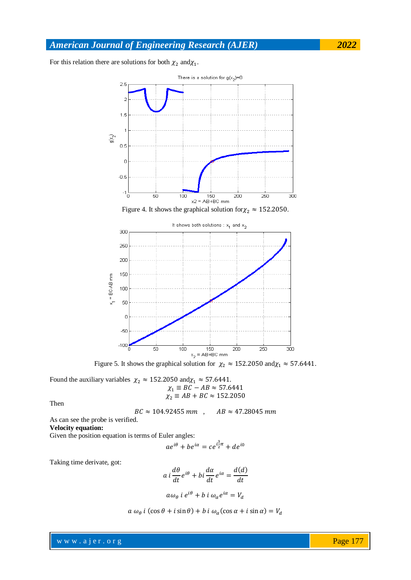For this relation there are solutions for both  $\chi_2$  and  $\chi_1$ .



Figure 5. It shows the graphical solution for  $\chi_2 \approx 152.2050$  and  $\chi_1 \approx 57.6441$ .

Found the auxiliary variables  $\chi_2 \approx 152.2050$  and  $\chi_1 \approx 57.6441$ .<br> $\chi_2 = RC - AB \approx 57.6441$  $\chi$ 

$$
\chi_1 = BC - AD \approx 37.6441
$$
  

$$
\chi_2 \equiv AB + BC \approx 152.2050
$$

Then

$$
BC \approx 104.92455 \, mm \quad , \quad AB \approx 47.28045 \, mm
$$

As can see the probe is verified. **Velocity equation:**

Given the position equation is terms of Euler angles:

$$
ae^{i\theta} + be^{i\alpha} = ce^{i\frac{3}{2}\pi} + de^{i0}
$$

Taking time derivate, got:

$$
a i \frac{d\theta}{dt} e^{i\theta} + bi \frac{d\alpha}{dt} e^{i\alpha} = \frac{d(d)}{dt}
$$

$$
a\omega_{\theta} i e^{i\theta} + b i \omega_{\alpha} e^{i\alpha} = V_d
$$

$$
a \omega_{\theta} i (\cos \theta + i \sin \theta) + b i \omega_{\alpha} (\cos \alpha + i \sin \alpha) = V_{d}
$$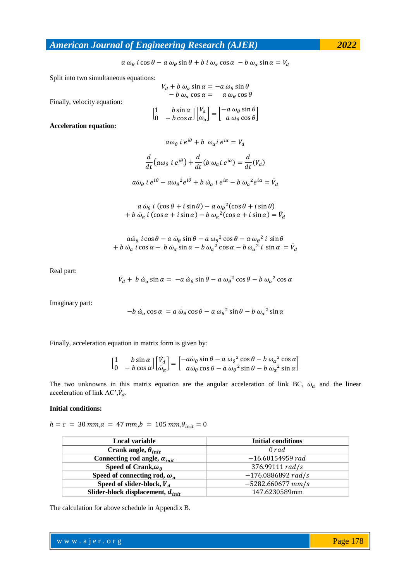$a \omega_{\theta} i \cos \theta - a \omega_{\theta} \sin \theta + b i \omega_{\alpha} \cos \alpha - b \omega_{\alpha} \sin \alpha = V_{d}$ 

Split into two simultaneous equations:

$$
V_d + b \omega_\alpha \sin \alpha = -a \omega_\theta \sin \theta
$$
  
- b \omega\_\alpha \cos \alpha = a \omega\_\theta \cos \theta  

$$
\begin{bmatrix} 1 & b \sin \alpha \\ 0 & -b \cos \alpha \end{bmatrix} \begin{bmatrix} V_d \\ \omega_\alpha \end{bmatrix} = \begin{bmatrix} -a \omega_\theta \sin \theta \\ a \omega_\theta \cos \theta \end{bmatrix}
$$

**Acceleration equation:**

Finally, velocity equation:

$$
\frac{d}{dt} \left( a \omega_{\theta} i e^{i\theta} \right) + \frac{d}{dt} \left( b \omega_{\alpha} i e^{i\alpha} \right) = \frac{d}{dt} \left( V_a \right)
$$

 $a\omega_{\theta}$  i  $e^{i\theta} + b \omega_{\alpha}$ i  $e^{i\theta}$ 

 $a\dot{\omega}_{\theta}$  i  $e^{i\theta} - a\omega_{\theta}^2 e^{i\theta} + b\dot{\omega}_{\alpha}$  i  $e^{i\alpha} - b\omega_{\alpha}^2 e^{i\alpha} = \dot{V}_d$ 

$$
a \dot{\omega}_{\theta} i (\cos \theta + i \sin \theta) - a \omega_{\theta}^{2} (\cos \theta + i \sin \theta)
$$
  
+  $b \dot{\omega}_{\alpha} i (\cos \alpha + i \sin \alpha) - b \omega_{\alpha}^{2} (\cos \alpha + i \sin \alpha) = \dot{V}_{d}$ 

$$
a\dot{\omega}_{\theta} i\cos\theta - a\dot{\omega}_{\theta}\sin\theta - a\omega_{\theta}^{2}\cos\theta - a\omega_{\theta}^{2} i\sin\theta
$$
  
+  $b\dot{\omega}_{\alpha} i\cos\alpha - b\dot{\omega}_{\alpha}\sin\alpha - b\omega_{\alpha}^{2}\cos\alpha - b\omega_{\alpha}^{2} i\sin\alpha = \dot{V}_{d}$ 

Real part:

$$
\dot{V}_d + b \dot{\omega}_\alpha \sin \alpha = -a \dot{\omega}_\theta \sin \theta - a \omega_\theta^2 \cos \theta - b \omega_\alpha^2 \cos \alpha
$$

Imaginary part:

$$
-b \omega_{\alpha} \cos \alpha = a \omega_{\theta} \cos \theta - a \omega_{\theta}^{2} \sin \theta - b \omega_{\alpha}^{2} \sin \alpha
$$

Finally, acceleration equation in matrix form is given by:

$$
\begin{bmatrix} 1 & b \sin \alpha \\ 0 & -b \cos \alpha \end{bmatrix} \begin{bmatrix} \dot{V}_d \\ \dot{\omega}_\alpha \end{bmatrix} = \begin{bmatrix} -a\dot{\omega}_\theta \sin \theta - a\omega_\theta^2 \cos \theta - b\omega_\alpha^2 \cos \alpha \\ a\dot{\omega}_\theta \cos \theta - a\omega_\theta^2 \sin \theta - b\omega_\alpha^2 \sin \alpha \end{bmatrix}
$$

The two unknowns in this matrix equation are the angular acceleration of link BC,  $\dot{\omega}_\alpha$  and the linear acceleration of link AC', $\dot{V}_d$ 

#### **Initial conditions:**

 $h = c = 30$  mm, $a = 47$  mm, $b = 105$  mm, $\theta_{init} = 0$ 

| Local variable                             | <b>Initial conditions</b> |
|--------------------------------------------|---------------------------|
| Crank angle, $\theta_{init}$               | 0 rad                     |
| Connecting rod angle, $\alpha_{init}$      | $-16.60154959$ rad        |
| Speed of Crank, $\omega_{\theta}$          | 376.99111 rad/s           |
| Speed of connecting rod, $\omega_{\alpha}$ | $-176.0886892 rad/s$      |
| Speed of slider-block, $V_d$               | $-5282.660677$ mm/s       |
| Slider-block displacement, $d_{init}$      | 147.6230589mm             |

The calculation for above schedule in Appendix B.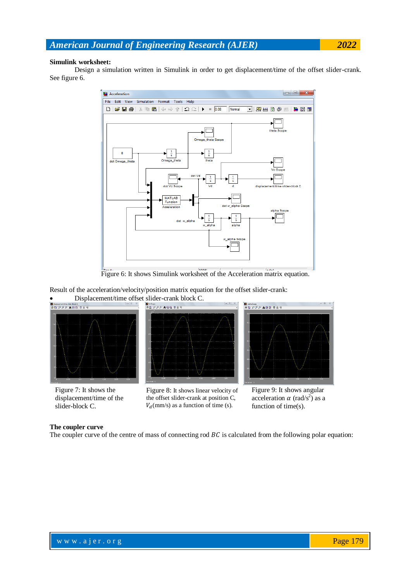#### **Simulink worksheet:**

Design a simulation written in Simulink in order to get displacement/time of the offset slider-crank. See figure 6.



Figure 6: It shows Simulink worksheet of the Acceleration matrix equation.

Result of the acceleration/velocity/position matrix equation for the offset slider-crank:

**Displacement/time offset slider-crank block C.** 



Figure 7: It shows the displacement/time of the slider-block C.



Figure 8: It shows linear velocity of the offset slider-crank at position C,  $V_d$ (mm/s) as a function of time (s).



Figure 9: It shows angular acceleration  $\alpha$  (rad/s<sup>2</sup>) as a function of time(s).

#### **The coupler curve**

The coupler curve of the centre of mass of connecting rod  $BC$  is calculated from the following polar equation: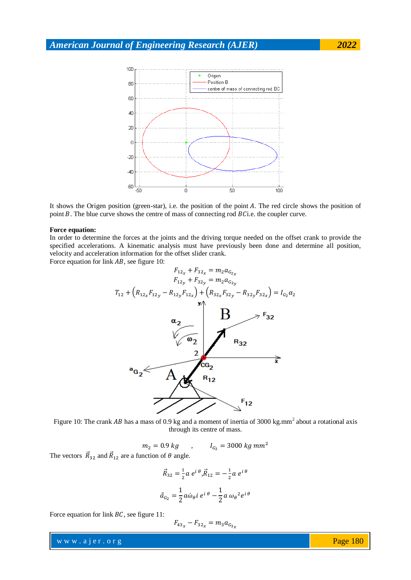

It shows the Origen position (green-star), i.e. the position of the point  $A$ . The red circle shows the position of point  $B$ . The blue curve shows the centre of mass of connecting rod  $B$ *C*i.e. the coupler curve.

#### **Force equation:**

In order to determine the forces at the joints and the driving torque needed on the offset crank to provide the specified accelerations. A kinematic analysis must have previously been done and determine all position, velocity and acceleration information for the offset slider crank.

Force equation for link  $AB$ , see figure 10:



Figure 10: The crank AB has a mass of 0.9 kg and a moment of inertia of 3000 kg.mm<sup>2</sup> about a rotational axis through its centre of mass.

 $m_2 = 0.9 kg$ ,  $I_{G_2} = 3000 kg mm^2$ 

The vectors  $\overrightarrow{R}_{32}$  and  $\overrightarrow{R}_{12}$  are a function of  $\theta$  angle.

$$
\vec{R}_{32} = \frac{1}{2} a e^{i \theta}, \vec{R}_{12} = -\frac{1}{2} a e^{i \theta}
$$

$$
\vec{a}_{G_2} = \frac{1}{2} a \dot{\omega}_{\theta} i e^{i \theta} - \frac{1}{2} a \omega_{\theta}^2 e^{i \theta}
$$

Force equation for link  $BC$ , see figure 11:

$$
F_{43_x} - F_{32_x} = m_3 a_{G_{3x}}
$$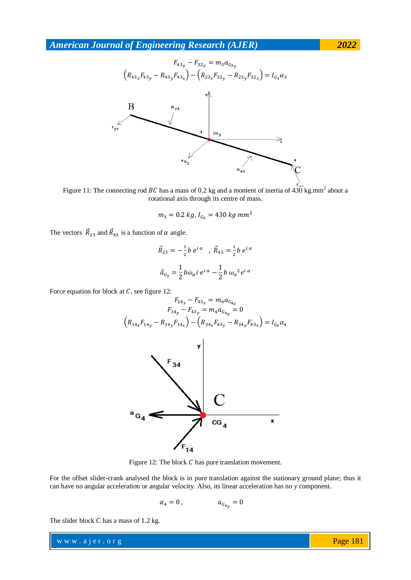

Figure 11: The connecting rod BC has a mass of 0.2 kg and a moment of inertia of 430 kg.mm<sup>2</sup> about a rotational axis through its centre of mass.

$$
m_3 = 0.2 \ kg
$$
,  $I_{G_2} = 430 \ kg \ mm^2$ 

The vectors  $\overrightarrow{R}_{23}$  and  $\overrightarrow{R}_{43}$  is a function of  $\alpha$  angle.

$$
\vec{R}_{23} = -\frac{1}{2}b e^{i\alpha} , \vec{R}_{43} = \frac{1}{2}b e^{i\alpha}
$$
  

$$
\vec{a}_{G_3} = \frac{1}{2}b\dot{\omega}_{\alpha} i e^{i\alpha} - \frac{1}{2}b \omega_{\alpha}^2 e^{i\alpha}
$$

Force equation for block at  $C$ , see figure 12:

$$
F_{14_x} - F_{43_x} = m_4 a_{G_{4x}}
$$
  
\n
$$
F_{14y} - F_{43y} = m_4 a_{G_{4y}} = 0
$$
  
\n
$$
(R_{14_x} F_{14y} - R_{14_y} F_{14x}) - (R_{34_x} F_{43_y} - R_{34_y} F_{43x}) = I_{G_4} \alpha_4
$$



Figure 12: The block  $C$  has pure translation movement.

For the offset slider-crank analysed the block is in pure translation against the stationary ground plane; thus it can have no angular acceleration or angular velocity. Also, its linear acceleration has no *y* component.

$$
\alpha_4=0\,,\qquad\qquad a_{G_{4y}}=0
$$

The slider block C has a mass of 1.2 kg.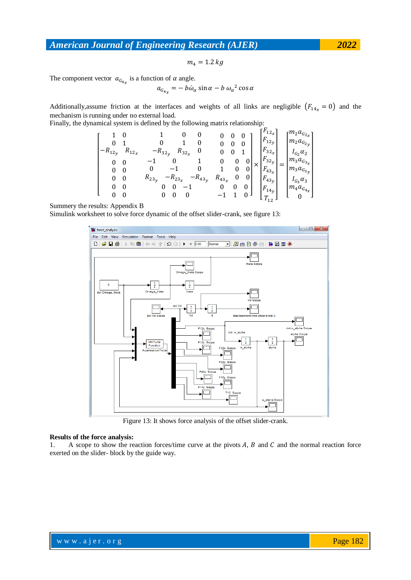$m_4 = 1.2 kg$ 

The component vector  $a_{G_{4n}}$  is a function of  $\alpha$  angle.

$$
a_{G_{4x}} = -b\omega_{\alpha}\sin\alpha - b\omega_{\alpha}^{2}\cos\alpha
$$

Additionally, assume friction at the interfaces and weights of all links are negligible  $(F_{14_x} = 0)$  and the mechanism is running under no external load.

Finally, the dynamical system is defined by the following matrix relationship:

$$
\begin{bmatrix} 1 & 0 & 1 & 0 & 0 & 0 & 0 & 0 \\ 0 & 1 & 0 & 1 & 0 & 0 & 0 & 0 \\ -R_{12_y} & R_{12_x} & -R_{32_y} & R_{32_x} & 0 & 0 & 0 & 1 \\ 0 & 0 & -1 & 0 & 1 & 0 & 0 & 0 \\ 0 & 0 & 0 & -1 & 0 & 1 & 0 & 0 \\ 0 & 0 & R_{23_y} & -R_{23_x} & -R_{43_y} & R_{43_x} & 0 & 0 \\ 0 & 0 & 0 & -1 & 0 & 0 & 0 \\ 0 & 0 & 0 & 0 & -1 & 0 & 0 & 0 \\ 0 & 0 & 0 & 0 & 0 & -1 & 1 & 0 \end{bmatrix} \times \begin{bmatrix} F_{12_x} \\ F_{12_y} \\ F_{32_x} \\ F_{32_y} \\ F_{43_x} \\ F_{43_x} \\ F_{43_y} \\ F_{44_y} \\ F_{45_y} \\ F_{46_x} \\ F_{47_y} \end{bmatrix} = \begin{bmatrix} m_2 a_{G_{2x}} \\ m_2 a_{G_{2y}} \\ m_2 a_{G_{3y}} \\ m_3 a_{G_{3y}} \\ m_3 a_{G_{3y}} \\ m_4 a_{G_{4x}} \\ m_4 a_{G_{4x}} \end{bmatrix}
$$

Summery the results: Appendix B

Simulink worksheet to solve force dynamic of the offset slider-crank, see figure 13:



Figure 13: It shows force analysis of the offset slider-crank.

#### **Results of the force analysis:**

1. A scope to show the reaction forces/time curve at the pivots  $A$ ,  $B$  and  $C$  and the normal reaction force exerted on the slider- block by the guide way.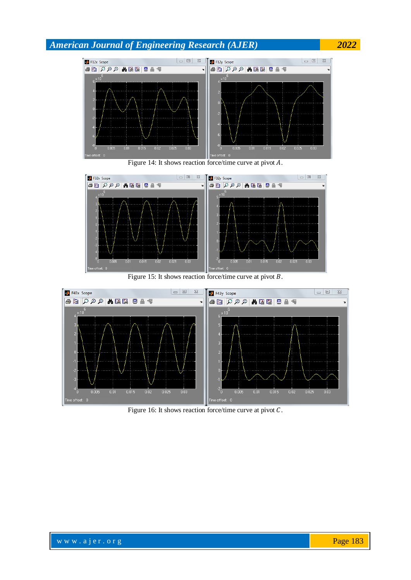





Figure 15: It shows reaction force/time curve at pivot  $B$ .



Figure 16: It shows reaction force/time curve at pivot  $C$ .